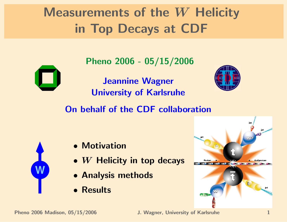## Measurements of the W Helicity in Top Decays at CDF

Pheno 2006 - 05/15/2006



Jeannine Wagner University of Karlsruhe



On behalf of the CDF collaboration



- Motivation
- $\bullet$  W Helicity in top decays
- Analysis methods
- Results

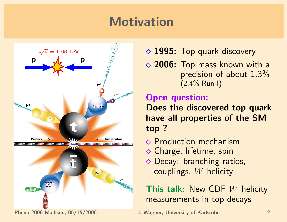### Motivation



 $\sqrt{s} = 1.96$  TeV  $\sqrt{s} = 1.96$  TeV

**◇ 2006:** Top mass known with a precision of about  $1.3\%$  $(2.4\%$  Run I)

#### Open question:

Does the discovered top quark have all properties of the SM top ?

- $\Diamond$  Production mechanism
- $\diamond$  Charge, lifetime, spin
- ◆ Decay: branching ratios, couplings, W helicity

This talk: New CDF  $W$  helicity measurements in top decays

Pheno 2006 Madison, 05/15/2006 J. Wagner, University of Karlsruhe 2006 Madison, 05/15/2006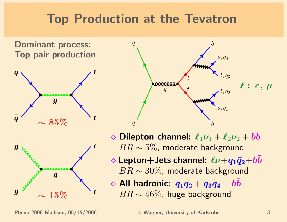### Top Production at the Tevatron

Dominant process: Top pair production







- $\Diamond$  Dilepton channel:  $\ell_1 \nu_1 + \ell_2 \nu_2 + bb$  $BR \sim 5\%$ , moderate background
- $\Diamond$  Lepton+Jets channel:  $\ell\nu+q_1\bar{q}_2+bb$  $BR \sim 30\%$ , moderate background
- $\Diamond$  All hadronic:  $q_1\bar{q}_2 + q_3\bar{q}_4 + b\bar{b}$  $BR \sim 46\%$ , huge background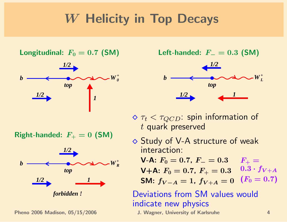### W Helicity in Top Decays



 $Right$ -handed:  $F_+ = 0$  (SM)



Pheno 2006 Madison, 05/15/2006 J. Wagner, University of Karlsruhe 4

 $$ Left-handed:  $F_- = 0.3$  (SM)



 $\delta \tau_t < \tau_{QCD}$ : spin information of t quark preserved

 $\Diamond$  Study of V-A structure of weak interaction:

 $\ket{F_+}=$  $0.3 \cdot f_{V+A}$  $(F_0 = 0.7)$  $V-A: F_0 = 0.7, F_- = 0.3$  $V+A: F_0 = 0.7, F_+ = 0.3$ SM:  $f_{V-A} = 1$ ,  $f_{V+A} = 0$ 

#### Deviations from SM values would indicate new physics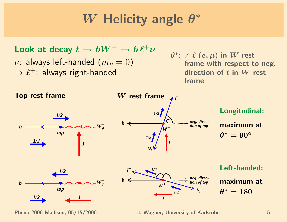#### W Helicity angle  $\theta$ ∗

```
Look at decay t \to bW^+ \to b \ell^+ \nu\nu: always left-handed (m_{\nu}=0)\Rightarrow \ell^+: always right-handed
```
 $\theta^*$ :  $\angle$   $\ell$   $(e, \mu)$  in  $W$  rest frame with respect to neg. direction of  $t$  in  $W$  rest : frame

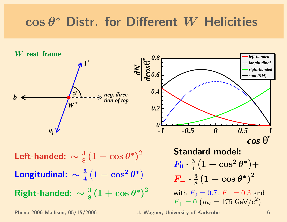# $\cos\theta^*$  Distr. for Different  $W$  Helicities

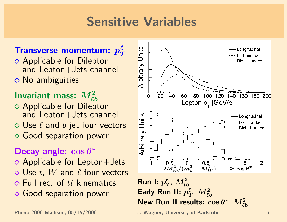### Sensitive Variables

#### Transverse momentum:  $p_{\tau}^{\ell}$ T

 $\diamond$  No ambiguities **◇ Applicable for Dilepton** and Lepton+Jets channel

#### Invariant mass:  $M^2_{\ell b}$

- **◇ Applicable for Dilepton** and Lepton+Jets channel
- $\diamond$  Use  $\ell$  and  $b$ -jet four-vectors
- Good separation power

#### Decay angle:  $\cos \theta^*$

- $\Diamond$  Applicable for Lepton+Jets
- $\Diamond$  Use t, W and  $\ell$  four-vectors
- $\Diamond$  Full rec. of  $t\bar{t}$  kinematics
- **◆ Good separation power**

Pheno 2006 Madison, 05/15/2006 J. Wagner, University of Karlsruhe 7



 $\overline{f}$ Run I:  $p_{\pmb{\eta}}^{\pmb{\ell}}$  $_{T}^{\ell},\,M_{lb}^2$ Early Run II:  $p_{7}^{\ell}$  $_{T}^{\ell},\,M_{\ell b}^{2}$ New Run II results:  $\cos\theta^*$ ,  $M_{\ell b}^2$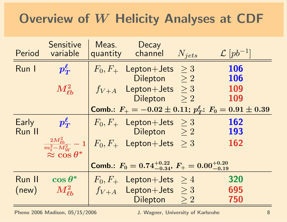### Overview of W Helicity Analyses at CDF

| Period                                                             | Sensitive<br>variable   | Meas. | Decay<br>quantity channel                                                              | $N_{jets}$ | $\mathcal{L}[pb^{-1}]$                                               |
|--------------------------------------------------------------------|-------------------------|-------|----------------------------------------------------------------------------------------|------------|----------------------------------------------------------------------|
| Run I                                                              | $p_T^{\ell}$            |       | $F_0, F_+$ Lepton+Jets $\geq 3$                                                        |            | <b>106</b>                                                           |
|                                                                    |                         |       | Dilepton $\geq 2$                                                                      |            | <b>106</b>                                                           |
|                                                                    | $M_{\ell b}^2$          |       | $f_{V+A}$ Lepton+Jets $\geq 3$                                                         |            | 109                                                                  |
|                                                                    |                         |       | Dilepton $>2$                                                                          |            | 109                                                                  |
|                                                                    |                         |       |                                                                                        |            | Comb.: $F_+ = -0.02 \pm 0.11$ ; $p_T^{\ell}$ : $F_0 = 0.91 \pm 0.39$ |
| Early                                                              | $p_T^{\ell}$            |       | $F_0, F_+$ Lepton+Jets $\geq 3$                                                        |            | <b>162</b>                                                           |
| Run II                                                             |                         |       | Dilepton $\geq 2$                                                                      |            | 193                                                                  |
|                                                                    | $\approx \cos \theta^*$ |       | $\left  \frac{2M_{\ell b}^2}{m_t^2 - M_W^2} - 1 \right  F_0, F_+$ Lepton+Jets $\geq 3$ |            | <b>162</b>                                                           |
| Comb.: $F_0 = 0.74^{+0.22}_{-0.34}$ , $F_+ = 0.00^{+0.20}_{-0.19}$ |                         |       |                                                                                        |            |                                                                      |
| Run II                                                             | $\cos\theta^*$          |       | $F_0, F_+$ Lepton+Jets $\geq 4$                                                        |            | 320                                                                  |
| (new)                                                              | $M_{\ell\bm{b}}^2$      |       | $f_{V+A}$ Lepton+Jets $\geq 3$                                                         |            | 695                                                                  |
|                                                                    |                         |       | Dilepton $>2$                                                                          |            | 750                                                                  |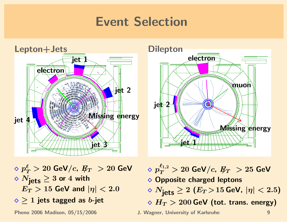### Event Selection





 $\Diamond~p_{T}^{\ell} > 20$  GeV/ $c,~\not \hspace{-1.2mm} E_{T}~>20$  GeV  $\Diamond N_{\text{jets}} \geq 3$  or 4 with  $E_T > 15$  GeV and  $|\eta| < 2.0$  $\diamond$  > 1 jets tagged as b-jet

 $\Diamond~p_{T}^{\ell_{1,2}} > 20$  GeV/ $c,~\not \hspace{-1.2mm} E_{T}~> 25$  GeV **◇ Opposite charged leptons**  $\Diamond N_{\text{jets}} \geq 2 \ (E_T > 15 \text{ GeV}, \ |\eta| < 2.5)$  $\phi$   $H_T > 200$  GeV (tot. trans. energy)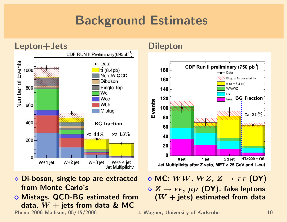### Background Estimates



- **◇ Di-boson, single top are extracted** from Monte Carlo's
- ◇ Mistags, QCD-BG estimated from data,  $W +$  jets from data & MC Pheno 2006 Madison, 05/15/2006 J. Wagner, University of Karlsruhe 10



 $\Diamond$  MC:  $WW$ ,  $WZ$ ,  $Z \rightarrow \tau \tau$  (DY)  $\Diamond Z \rightarrow ee, \mu\mu$  (DY), fake leptons  $(W + jets)$  estimated from data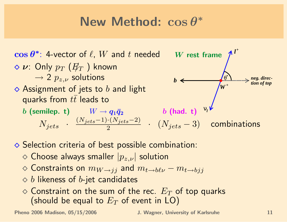#### New Method: cos θ ∗



- $\Diamond$  Selection criteria of best possible combination:
	- $\Diamond$  Choose always smaller  $|p_{z,\nu}|$  solution
	- $\Diamond$  Constraints on  $m_{W\rightarrow jj}$  and  $m_{t\rightarrow b\ell\nu} m_{t\rightarrow bjj}$
	- $\Diamond b$  likeness of b-jet candidates
	- $\diamond$  Constraint on the sum of the rec.  $E_T$  of top quarks (should be equal to  $E_T$  of event in LO)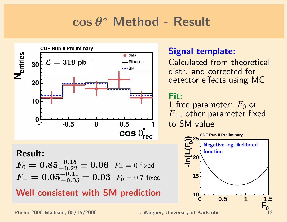# cos θ <sup>∗</sup> Method - Result



#### Signal template:

Calculated from theoretical distr. and corrected for detector effects using MC

#### Fit:

1 free parameter:  $F_0$  or  $F_{+}$ , other parameter fixed to SM value



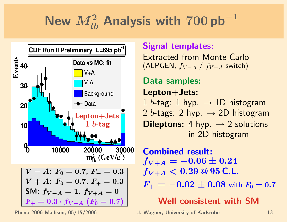# New  $M_{lb}^2$  Analysis with  $700$  pb $^{-1}$



Pheno 2006 Madison, 05/15/2006 J. Wagner, University of Karlsruhe 13

#### Signal templates:

Extracted from Monte Carlo (ALPGEN,  $f_{V-A}$  /  $f_{V+A}$  switch)

### Data samples:

Lepton+Jets:

1 b-tag: 1 hyp.  $\rightarrow$  1D histogram 2 b-tags: 2 hyp.  $\rightarrow$  2D histogram **Dileptons:** 4 hyp.  $\rightarrow$  2 solutions in 2D histogram

Combined result:  $f_{V+A} = -0.06 \pm 0.24$  $f_{V+A} < 0.29 \text{ @ } 95 \text{ C.L.}$ 

 $F_+ = -0.02 \pm 0.08$  with  $F_0 = 0.7$ 

Well consistent with SM